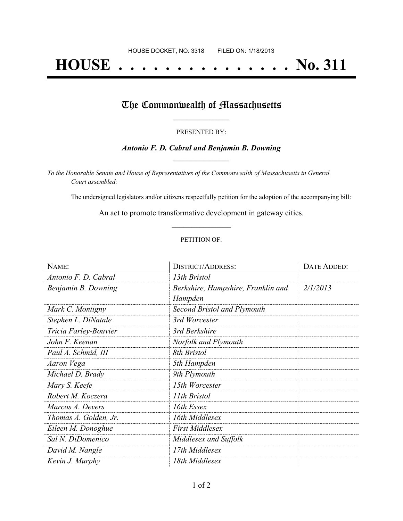# **HOUSE . . . . . . . . . . . . . . . No. 311**

## The Commonwealth of Massachusetts

#### PRESENTED BY:

### *Antonio F. D. Cabral and Benjamin B. Downing* **\_\_\_\_\_\_\_\_\_\_\_\_\_\_\_\_\_**

*To the Honorable Senate and House of Representatives of the Commonwealth of Massachusetts in General Court assembled:*

The undersigned legislators and/or citizens respectfully petition for the adoption of the accompanying bill:

An act to promote transformative development in gateway cities. **\_\_\_\_\_\_\_\_\_\_\_\_\_\_\_**

#### PETITION OF:

| NAME:                 | <b>DISTRICT/ADDRESS:</b>                      | DATE ADDED: |
|-----------------------|-----------------------------------------------|-------------|
| Antonio F. D. Cabral  | 13th Bristol                                  |             |
| Benjamin B. Downing   | Berkshire, Hampshire, Franklin and<br>Hampden | 2/1/2013    |
| Mark C. Montigny      | Second Bristol and Plymouth                   |             |
| Stephen L. DiNatale   | 3rd Worcester                                 |             |
| Tricia Farley-Bouvier | 3rd Berkshire                                 |             |
| John F. Keenan        | Norfolk and Plymouth                          |             |
| Paul A. Schmid, III   | 8th Bristol                                   |             |
| Aaron Vega            | 5th Hampden                                   |             |
| Michael D. Brady      | 9th Plymouth                                  |             |
| Mary S. Keefe         | 15th Worcester                                |             |
| Robert M. Koczera     | 11th Bristol                                  |             |
| Marcos A. Devers      | 16th Essex                                    |             |
| Thomas A. Golden, Jr. | 16th Middlesex                                |             |
| Eileen M. Donoghue    | <b>First Middlesex</b>                        |             |
| Sal N. DiDomenico     | Middlesex and Suffolk                         |             |
| David M. Nangle       | 17th Middlesex                                |             |
| Kevin J. Murphy       | 18th Middlesex                                |             |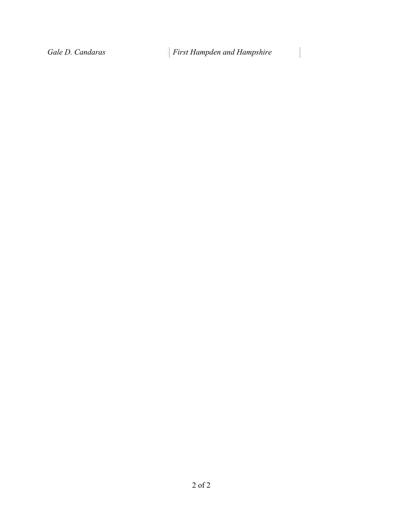$\begin{array}{c} \begin{array}{c} \begin{array}{c} \begin{array}{c} \end{array} \end{array} \end{array} \end{array}$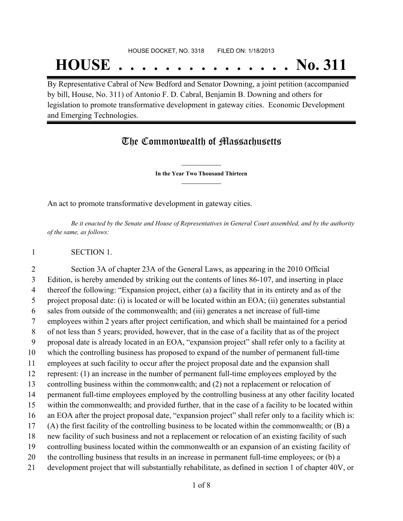## HOUSE DOCKET, NO. 3318 FILED ON: 1/18/2013

# **HOUSE . . . . . . . . . . . . . . . No. 311**

By Representative Cabral of New Bedford and Senator Downing, a joint petition (accompanied by bill, House, No. 311) of Antonio F. D. Cabral, Benjamin B. Downing and others for legislation to promote transformative development in gateway cities. Economic Development and Emerging Technologies.

## The Commonwealth of Massachusetts

**\_\_\_\_\_\_\_\_\_\_\_\_\_\_\_ In the Year Two Thousand Thirteen \_\_\_\_\_\_\_\_\_\_\_\_\_\_\_**

An act to promote transformative development in gateway cities.

Be it enacted by the Senate and House of Representatives in General Court assembled, and by the authority *of the same, as follows:*

### SECTION 1.

 Section 3A of chapter 23A of the General Laws, as appearing in the 2010 Official Edition, is hereby amended by striking out the contents of lines 86-107, and inserting in place thereof the following: "Expansion project, either (a) a facility that in its entirety and as of the project proposal date: (i) is located or will be located within an EOA; (ii) generates substantial sales from outside of the commonwealth; and (iii) generates a net increase of full-time employees within 2 years after project certification, and which shall be maintained for a period of not less than 5 years; provided, however, that in the case of a facility that as of the project proposal date is already located in an EOA, "expansion project" shall refer only to a facility at which the controlling business has proposed to expand of the number of permanent full-time employees at such facility to occur after the project proposal date and the expansion shall represent: (1) an increase in the number of permanent full-time employees employed by the controlling business within the commonwealth; and (2) not a replacement or relocation of permanent full-time employees employed by the controlling business at any other facility located within the commonwealth; and provided further, that in the case of a facility to be located within an EOA after the project proposal date, "expansion project" shall refer only to a facility which is: (A) the first facility of the controlling business to be located within the commonwealth; or (B) a new facility of such business and not a replacement or relocation of an existing facility of such controlling business located within the commonwealth or an expansion of an existing facility of the controlling business that results in an increase in permanent full-time employees; or (b) a development project that will substantially rehabilitate, as defined in section 1 of chapter 40V, or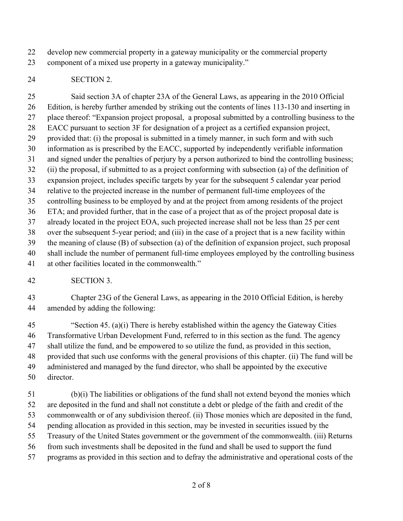develop new commercial property in a gateway municipality or the commercial property

component of a mixed use property in a gateway municipality."

## SECTION 2.

 Said section 3A of chapter 23A of the General Laws, as appearing in the 2010 Official Edition, is hereby further amended by striking out the contents of lines 113-130 and inserting in place thereof: "Expansion project proposal, a proposal submitted by a controlling business to the EACC pursuant to section 3F for designation of a project as a certified expansion project, provided that: (i) the proposal is submitted in a timely manner, in such form and with such information as is prescribed by the EACC, supported by independently verifiable information and signed under the penalties of perjury by a person authorized to bind the controlling business; (ii) the proposal, if submitted to as a project conforming with subsection (a) of the definition of expansion project, includes specific targets by year for the subsequent 5 calendar year period relative to the projected increase in the number of permanent full-time employees of the controlling business to be employed by and at the project from among residents of the project ETA; and provided further, that in the case of a project that as of the project proposal date is already located in the project EOA, such projected increase shall not be less than 25 per cent over the subsequent 5-year period; and (iii) in the case of a project that is a new facility within the meaning of clause (B) of subsection (a) of the definition of expansion project, such proposal shall include the number of permanent full-time employees employed by the controlling business at other facilities located in the commonwealth."

SECTION 3.

 Chapter 23G of the General Laws, as appearing in the 2010 Official Edition, is hereby amended by adding the following:

 "Section 45. (a)(i) There is hereby established within the agency the Gateway Cities Transformative Urban Development Fund, referred to in this section as the fund. The agency shall utilize the fund, and be empowered to so utilize the fund, as provided in this section, provided that such use conforms with the general provisions of this chapter. (ii) The fund will be administered and managed by the fund director, who shall be appointed by the executive director.

 (b)(i) The liabilities or obligations of the fund shall not extend beyond the monies which are deposited in the fund and shall not constitute a debt or pledge of the faith and credit of the commonwealth or of any subdivision thereof. (ii) Those monies which are deposited in the fund, pending allocation as provided in this section, may be invested in securities issued by the Treasury of the United States government or the government of the commonwealth. (iii) Returns from such investments shall be deposited in the fund and shall be used to support the fund programs as provided in this section and to defray the administrative and operational costs of the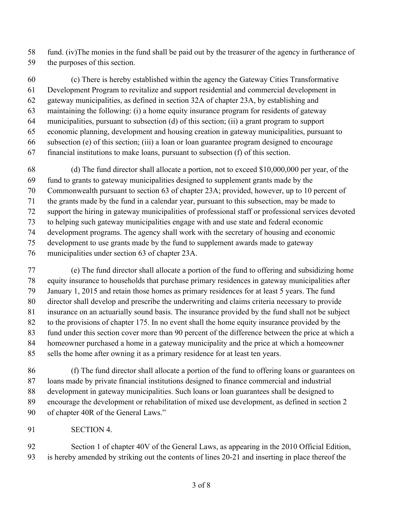fund. (iv)The monies in the fund shall be paid out by the treasurer of the agency in furtherance of

the purposes of this section.

 (c) There is hereby established within the agency the Gateway Cities Transformative Development Program to revitalize and support residential and commercial development in gateway municipalities, as defined in section 32A of chapter 23A, by establishing and maintaining the following: (i) a home equity insurance program for residents of gateway municipalities, pursuant to subsection (d) of this section; (ii) a grant program to support economic planning, development and housing creation in gateway municipalities, pursuant to subsection (e) of this section; (iii) a loan or loan guarantee program designed to encourage financial institutions to make loans, pursuant to subsection (f) of this section.

 (d) The fund director shall allocate a portion, not to exceed \$10,000,000 per year, of the fund to grants to gateway municipalities designed to supplement grants made by the Commonwealth pursuant to section 63 of chapter 23A; provided, however, up to 10 percent of the grants made by the fund in a calendar year, pursuant to this subsection, may be made to support the hiring in gateway municipalities of professional staff or professional services devoted to helping such gateway municipalities engage with and use state and federal economic development programs. The agency shall work with the secretary of housing and economic development to use grants made by the fund to supplement awards made to gateway municipalities under section 63 of chapter 23A.

 (e) The fund director shall allocate a portion of the fund to offering and subsidizing home equity insurance to households that purchase primary residences in gateway municipalities after January 1, 2015 and retain those homes as primary residences for at least 5 years. The fund director shall develop and prescribe the underwriting and claims criteria necessary to provide insurance on an actuarially sound basis. The insurance provided by the fund shall not be subject to the provisions of chapter 175. In no event shall the home equity insurance provided by the fund under this section cover more than 90 percent of the difference between the price at which a homeowner purchased a home in a gateway municipality and the price at which a homeowner sells the home after owning it as a primary residence for at least ten years.

 (f) The fund director shall allocate a portion of the fund to offering loans or guarantees on loans made by private financial institutions designed to finance commercial and industrial development in gateway municipalities. Such loans or loan guarantees shall be designed to encourage the development or rehabilitation of mixed use development, as defined in section 2 of chapter 40R of the General Laws."

SECTION 4.

 Section 1 of chapter 40V of the General Laws, as appearing in the 2010 Official Edition, is hereby amended by striking out the contents of lines 20-21 and inserting in place thereof the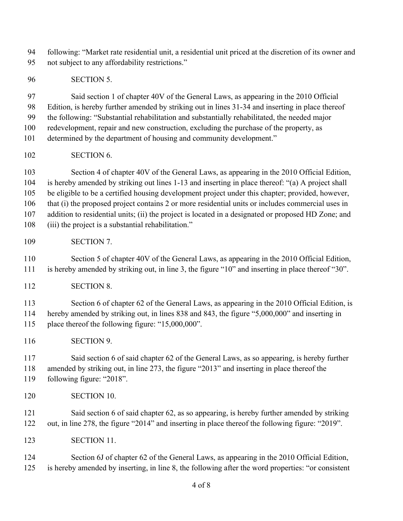following: "Market rate residential unit, a residential unit priced at the discretion of its owner and not subject to any affordability restrictions."

SECTION 5.

 Said section 1 of chapter 40V of the General Laws, as appearing in the 2010 Official Edition, is hereby further amended by striking out in lines 31-34 and inserting in place thereof the following: "Substantial rehabilitation and substantially rehabilitated, the needed major redevelopment, repair and new construction, excluding the purchase of the property, as

determined by the department of housing and community development."

SECTION 6.

 Section 4 of chapter 40V of the General Laws, as appearing in the 2010 Official Edition, is hereby amended by striking out lines 1-13 and inserting in place thereof: "(a) A project shall be eligible to be a certified housing development project under this chapter; provided, however, that (i) the proposed project contains 2 or more residential units or includes commercial uses in addition to residential units; (ii) the project is located in a designated or proposed HD Zone; and (iii) the project is a substantial rehabilitation."

SECTION 7.

 Section 5 of chapter 40V of the General Laws, as appearing in the 2010 Official Edition, is hereby amended by striking out, in line 3, the figure "10" and inserting in place thereof "30".

SECTION 8.

113 Section 6 of chapter 62 of the General Laws, as appearing in the 2010 Official Edition, is hereby amended by striking out, in lines 838 and 843, the figure "5,000,000" and inserting in place thereof the following figure: "15,000,000".

SECTION 9.

 Said section 6 of said chapter 62 of the General Laws, as so appearing, is hereby further amended by striking out, in line 273, the figure "2013" and inserting in place thereof the following figure: "2018".

SECTION 10.

 Said section 6 of said chapter 62, as so appearing, is hereby further amended by striking out, in line 278, the figure "2014" and inserting in place thereof the following figure: "2019".

SECTION 11.

 Section 6J of chapter 62 of the General Laws, as appearing in the 2010 Official Edition, is hereby amended by inserting, in line 8, the following after the word properties: "or consistent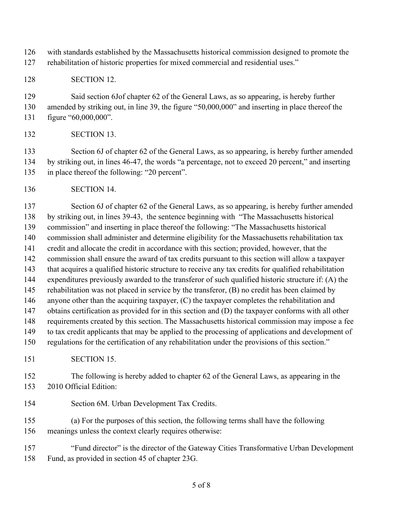with standards established by the Massachusetts historical commission designed to promote the rehabilitation of historic properties for mixed commercial and residential uses."

SECTION 12.

 Said section 6Jof chapter 62 of the General Laws, as so appearing, is hereby further amended by striking out, in line 39, the figure "50,000,000" and inserting in place thereof the figure "60,000,000".

SECTION 13.

133 Section 6J of chapter 62 of the General Laws, as so appearing, is hereby further amended by striking out, in lines 46-47, the words "a percentage, not to exceed 20 percent," and inserting in place thereof the following: "20 percent".

SECTION 14.

 Section 6J of chapter 62 of the General Laws, as so appearing, is hereby further amended by striking out, in lines 39-43, the sentence beginning with "The Massachusetts historical commission" and inserting in place thereof the following: "The Massachusetts historical commission shall administer and determine eligibility for the Massachusetts rehabilitation tax credit and allocate the credit in accordance with this section; provided, however, that the commission shall ensure the award of tax credits pursuant to this section will allow a taxpayer that acquires a qualified historic structure to receive any tax credits for qualified rehabilitation expenditures previously awarded to the transferor of such qualified historic structure if: (A) the rehabilitation was not placed in service by the transferor, (B) no credit has been claimed by anyone other than the acquiring taxpayer, (C) the taxpayer completes the rehabilitation and obtains certification as provided for in this section and (D) the taxpayer conforms with all other requirements created by this section. The Massachusetts historical commission may impose a fee to tax credit applicants that may be applied to the processing of applications and development of regulations for the certification of any rehabilitation under the provisions of this section." SECTION 15.

 The following is hereby added to chapter 62 of the General Laws, as appearing in the 2010 Official Edition:

Section 6M. Urban Development Tax Credits.

 (a) For the purposes of this section, the following terms shall have the following meanings unless the context clearly requires otherwise:

 "Fund director" is the director of the Gateway Cities Transformative Urban Development Fund, as provided in section 45 of chapter 23G.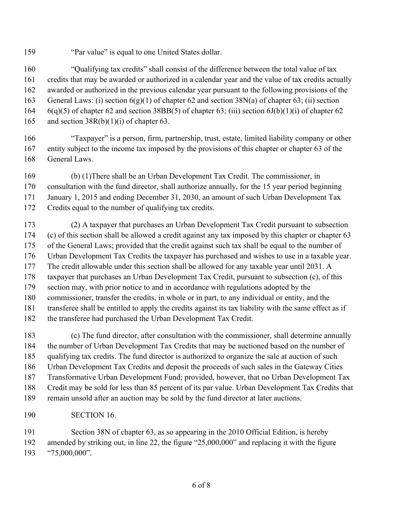"Par value" is equal to one United States dollar.

 "Qualifying tax credits" shall consist of the difference between the total value of tax credits that may be awarded or authorized in a calendar year and the value of tax credits actually awarded or authorized in the previous calendar year pursuant to the following provisions of the 163 General Laws: (i) section  $6(g)(1)$  of chapter 62 and section 38N(a) of chapter 63; (ii) section 6(q)(5) of chapter 62 and section 38BB(5) of chapter 63; (iii) section 6J(b)(1)(i) of chapter 62 165 and section 38R(b)(1)(i) of chapter 63.

- "Taxpayer" is a person, firm, partnership, trust, estate, limited liability company or other entity subject to the income tax imposed by the provisions of this chapter or chapter 63 of the General Laws.
- (b) (1)There shall be an Urban Development Tax Credit. The commissioner, in consultation with the fund director, shall authorize annually, for the 15 year period beginning January 1, 2015 and ending December 31, 2030, an amount of such Urban Development Tax Credits equal to the number of qualifying tax credits.

 (2) A taxpayer that purchases an Urban Development Tax Credit pursuant to subsection (c) of this section shall be allowed a credit against any tax imposed by this chapter or chapter 63 of the General Laws; provided that the credit against such tax shall be equal to the number of Urban Development Tax Credits the taxpayer has purchased and wishes to use in a taxable year. The credit allowable under this section shall be allowed for any taxable year until 2031. A taxpayer that purchases an Urban Development Tax Credit, pursuant to subsection (c), of this section may, with prior notice to and in accordance with regulations adopted by the commissioner, transfer the credits, in whole or in part, to any individual or entity, and the transferee shall be entitled to apply the credits against its tax liability with the same effect as if the transferee had purchased the Urban Development Tax Credit.

- (c) The fund director, after consultation with the commissioner, shall determine annually the number of Urban Development Tax Credits that may be auctioned based on the number of qualifying tax credits. The fund director is authorized to organize the sale at auction of such Urban Development Tax Credits and deposit the proceeds of such sales in the Gateway Cities Transformative Urban Development Fund; provided, however, that no Urban Development Tax Credit may be sold for less than 85 percent of its par value. Urban Development Tax Credits that remain unsold after an auction may be sold by the fund director at later auctions.
- SECTION 16.

 Section 38N of chapter 63, as so appearing in the 2010 Official Edition, is hereby amended by striking out, in line 22, the figure "25,000,000" and replacing it with the figure "75,000,000".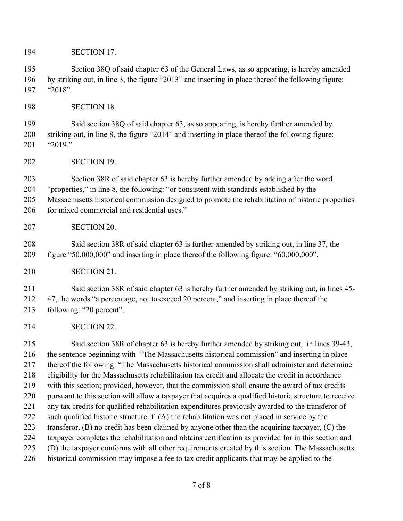SECTION 17.

 Section 38Q of said chapter 63 of the General Laws, as so appearing, is hereby amended by striking out, in line 3, the figure "2013" and inserting in place thereof the following figure: "2018".

SECTION 18.

 Said section 38Q of said chapter 63, as so appearing, is hereby further amended by striking out, in line 8, the figure "2014" and inserting in place thereof the following figure: "2019."

SECTION 19.

 Section 38R of said chapter 63 is hereby further amended by adding after the word "properties," in line 8, the following: "or consistent with standards established by the Massachusetts historical commission designed to promote the rehabilitation of historic properties 206 for mixed commercial and residential uses."

SECTION 20.

 Said section 38R of said chapter 63 is further amended by striking out, in line 37, the figure "50,000,000" and inserting in place thereof the following figure: "60,000,000".

SECTION 21.

 Said section 38R of said chapter 63 is hereby further amended by striking out, in lines 45- 47, the words "a percentage, not to exceed 20 percent," and inserting in place thereof the

following: "20 percent".

SECTION 22.

 Said section 38R of chapter 63 is hereby further amended by striking out, in lines 39-43, the sentence beginning with "The Massachusetts historical commission" and inserting in place thereof the following: "The Massachusetts historical commission shall administer and determine eligibility for the Massachusetts rehabilitation tax credit and allocate the credit in accordance with this section; provided, however, that the commission shall ensure the award of tax credits pursuant to this section will allow a taxpayer that acquires a qualified historic structure to receive any tax credits for qualified rehabilitation expenditures previously awarded to the transferor of 222 such qualified historic structure if: (A) the rehabilitation was not placed in service by the transferor, (B) no credit has been claimed by anyone other than the acquiring taxpayer, (C) the taxpayer completes the rehabilitation and obtains certification as provided for in this section and (D) the taxpayer conforms with all other requirements created by this section. The Massachusetts historical commission may impose a fee to tax credit applicants that may be applied to the